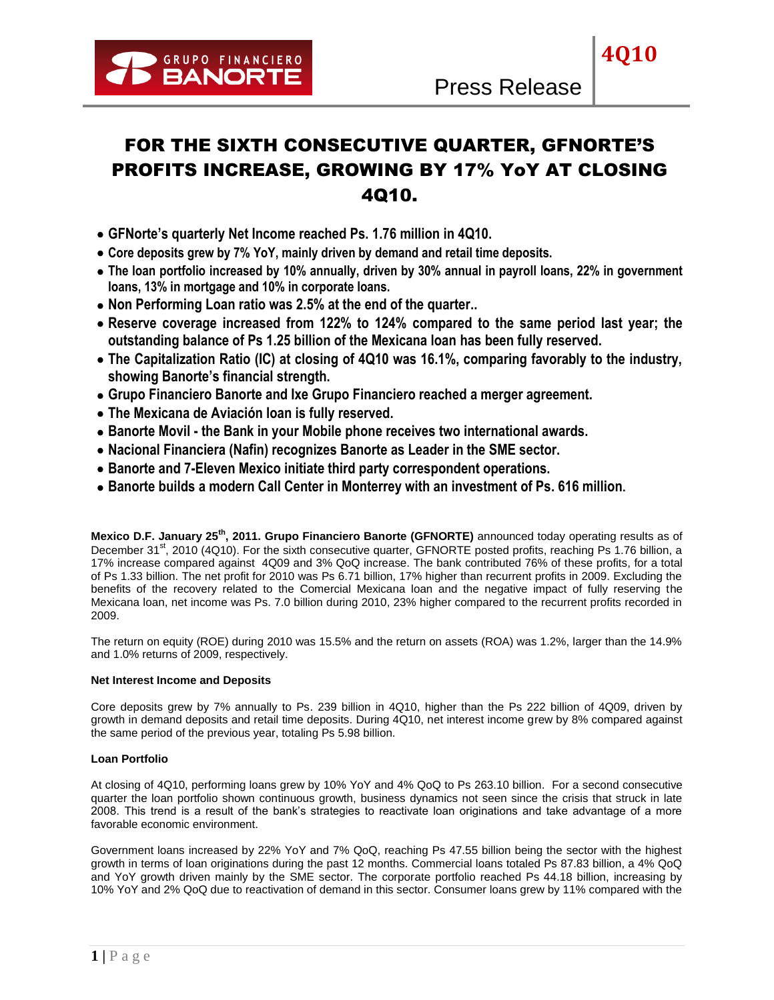**4Q10**

# FOR THE SIXTH CONSECUTIVE QUARTER, GFNORTE'S PROFITS INCREASE, GROWING BY 17% YoY AT CLOSING 4Q10.

- **GFNorte's quarterly Net Income reached Ps. 1.76 million in 4Q10.**
- **Core deposits grew by 7% YoY, mainly driven by demand and retail time deposits.**
- **The loan portfolio increased by 10% annually, driven by 30% annual in payroll loans, 22% in government loans, 13% in mortgage and 10% in corporate loans.**
- **Non Performing Loan ratio was 2.5% at the end of the quarter..**
- **Reserve coverage increased from 122% to 124% compared to the same period last year; the outstanding balance of Ps 1.25 billion of the Mexicana loan has been fully reserved.**
- **The Capitalization Ratio (IC) at closing of 4Q10 was 16.1%, comparing favorably to the industry, showing Banorte's financial strength.**
- **Grupo Financiero Banorte and Ixe Grupo Financiero reached a merger agreement.**
- **The Mexicana de Aviación loan is fully reserved.**
- **Banorte Movil - the Bank in your Mobile phone receives two international awards.**
- **Nacional Financiera (Nafin) recognizes Banorte as Leader in the SME sector.**
- **Banorte and 7-Eleven Mexico initiate third party correspondent operations.**
- **Banorte builds a modern Call Center in Monterrey with an investment of Ps. 616 million.**

**Mexico D.F. January 25th, 2011. Grupo Financiero Banorte (GFNORTE)** announced today operating results as of December 31<sup>st</sup>, 2010 (4Q10). For the sixth consecutive quarter, GFNORTE posted profits, reaching Ps 1.76 billion, a 17% increase compared against 4Q09 and 3% QoQ increase. The bank contributed 76% of these profits, for a total of Ps 1.33 billion. The net profit for 2010 was Ps 6.71 billion, 17% higher than recurrent profits in 2009. Excluding the benefits of the recovery related to the Comercial Mexicana loan and the negative impact of fully reserving the Mexicana loan, net income was Ps. 7.0 billion during 2010, 23% higher compared to the recurrent profits recorded in 2009.

The return on equity (ROE) during 2010 was 15.5% and the return on assets (ROA) was 1.2%, larger than the 14.9% and 1.0% returns of 2009, respectively.

# **Net Interest Income and Deposits**

Core deposits grew by 7% annually to Ps. 239 billion in 4Q10, higher than the Ps 222 billion of 4Q09, driven by growth in demand deposits and retail time deposits. During 4Q10, net interest income grew by 8% compared against the same period of the previous year, totaling Ps 5.98 billion.

# **Loan Portfolio**

At closing of 4Q10, performing loans grew by 10% YoY and 4% QoQ to Ps 263.10 billion. For a second consecutive quarter the loan portfolio shown continuous growth, business dynamics not seen since the crisis that struck in late 2008. This trend is a result of the bank's strategies to reactivate loan originations and take advantage of a more favorable economic environment.

Government loans increased by 22% YoY and 7% QoQ, reaching Ps 47.55 billion being the sector with the highest growth in terms of loan originations during the past 12 months. Commercial loans totaled Ps 87.83 billion, a 4% QoQ and YoY growth driven mainly by the SME sector. The corporate portfolio reached Ps 44.18 billion, increasing by 10% YoY and 2% QoQ due to reactivation of demand in this sector. Consumer loans grew by 11% compared with the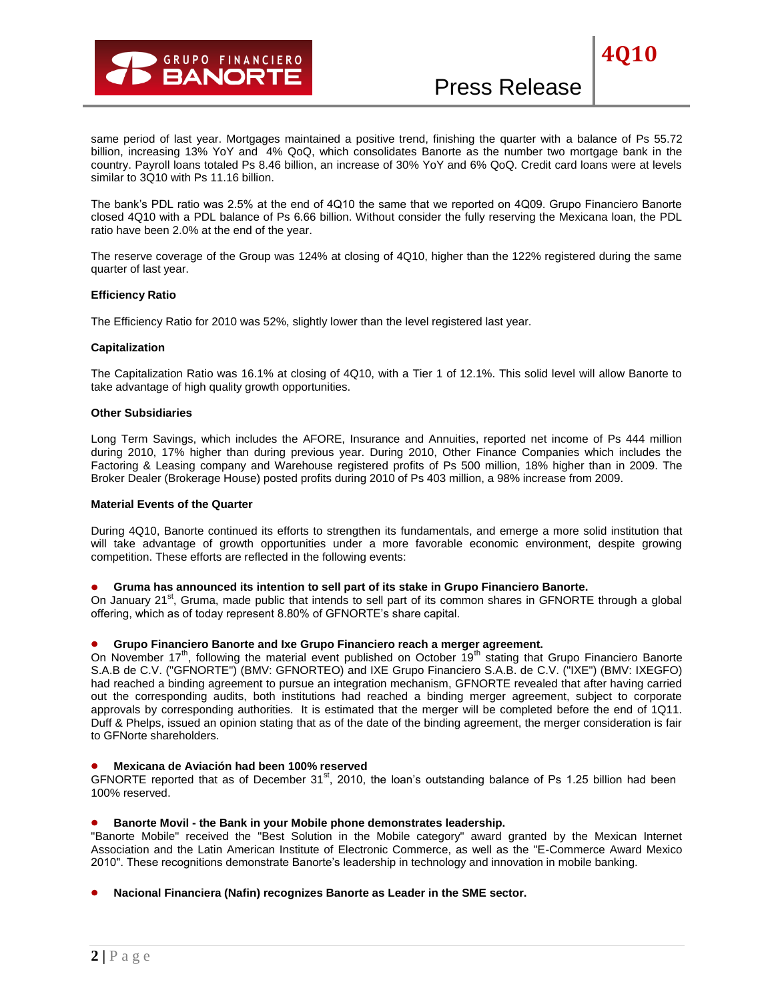# Press Release

same period of last year. Mortgages maintained a positive trend, finishing the quarter with a balance of Ps 55.72 billion, increasing 13% YoY and 4% QoQ, which consolidates Banorte as the number two mortgage bank in the country. Payroll loans totaled Ps 8.46 billion, an increase of 30% YoY and 6% QoQ. Credit card loans were at levels similar to 3Q10 with Ps 11.16 billion.

The bank's PDL ratio was 2.5% at the end of 4Q10 the same that we reported on 4Q09. Grupo Financiero Banorte closed 4Q10 with a PDL balance of Ps 6.66 billion. Without consider the fully reserving the Mexicana loan, the PDL ratio have been 2.0% at the end of the year.

The reserve coverage of the Group was 124% at closing of 4Q10, higher than the 122% registered during the same quarter of last year.

## **Efficiency Ratio**

The Efficiency Ratio for 2010 was 52%, slightly lower than the level registered last year.

#### **Capitalization**

The Capitalization Ratio was 16.1% at closing of 4Q10, with a Tier 1 of 12.1%. This solid level will allow Banorte to take advantage of high quality growth opportunities.

#### **Other Subsidiaries**

Long Term Savings, which includes the AFORE, Insurance and Annuities, reported net income of Ps 444 million during 2010, 17% higher than during previous year. During 2010, Other Finance Companies which includes the Factoring & Leasing company and Warehouse registered profits of Ps 500 million, 18% higher than in 2009. The Broker Dealer (Brokerage House) posted profits during 2010 of Ps 403 million, a 98% increase from 2009.

#### **Material Events of the Quarter**

During 4Q10, Banorte continued its efforts to strengthen its fundamentals, and emerge a more solid institution that will take advantage of growth opportunities under a more favorable economic environment, despite growing competition. These efforts are reflected in the following events:

#### **Gruma has announced its intention to sell part of its stake in Grupo Financiero Banorte.**

On January 21<sup>st</sup>, Gruma, made public that intends to sell part of its common shares in GFNORTE through a global offering, which as of today represent 8.80% of GFNORTE's share capital.

# **Grupo Financiero Banorte and Ixe Grupo Financiero reach a merger agreement.**

On November 17<sup>th</sup>, following the material event published on October 19<sup>th</sup> stating that Grupo Financiero Banorte S.A.B de C.V. ("GFNORTE") (BMV: GFNORTEO) and IXE Grupo Financiero S.A.B. de C.V. ("IXE") (BMV: IXEGFO) had reached a binding agreement to pursue an integration mechanism, GFNORTE revealed that after having carried out the corresponding audits, both institutions had reached a binding merger agreement, subject to corporate approvals by corresponding authorities. It is estimated that the merger will be completed before the end of 1Q11. Duff & Phelps, issued an opinion stating that as of the date of the binding agreement, the merger consideration is fair to GFNorte shareholders.

#### **Mexicana de Aviación had been 100% reserved**

GFNORTE reported that as of December  $31^{st}$ , 2010, the loan's outstanding balance of Ps 1.25 billion had been 100% reserved.

## **Banorte Movil - the Bank in your Mobile phone demonstrates leadership.**

"Banorte Mobile" received the "Best Solution in the Mobile category" award granted by the Mexican Internet Association and the Latin American Institute of Electronic Commerce, as well as the "E-Commerce Award Mexico 2010". These recognitions demonstrate Banorte's leadership in technology and innovation in mobile banking.

## **Nacional Financiera (Nafin) recognizes Banorte as Leader in the SME sector.**